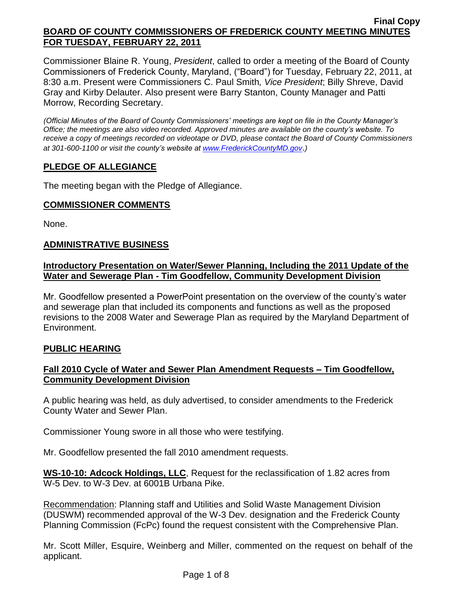Commissioner Blaine R. Young, *President*, called to order a meeting of the Board of County Commissioners of Frederick County, Maryland, ("Board") for Tuesday, February 22, 2011, at 8:30 a.m. Present were Commissioners C. Paul Smith*, Vice President*; Billy Shreve, David Gray and Kirby Delauter. Also present were Barry Stanton, County Manager and Patti Morrow, Recording Secretary.

*(Official Minutes of the Board of County Commissioners' meetings are kept on file in the County Manager's Office; the meetings are also video recorded. Approved minutes are available on the county's website. To receive a copy of meetings recorded on videotape or DVD, please contact the Board of County Commissioners at 301-600-1100 or visit the county's website at [www.FrederickCountyMD.gov](http://www.frederickcountymd.gov/)*.*)*

# **PLEDGE OF ALLEGIANCE**

The meeting began with the Pledge of Allegiance.

## **COMMISSIONER COMMENTS**

None.

## **ADMINISTRATIVE BUSINESS**

### **Introductory Presentation on Water/Sewer Planning, Including the 2011 Update of the Water and Sewerage Plan - Tim Goodfellow, Community Development Division**

Mr. Goodfellow presented a PowerPoint presentation on the overview of the county's water and sewerage plan that included its components and functions as well as the proposed revisions to the 2008 Water and Sewerage Plan as required by the Maryland Department of Environment.

# **PUBLIC HEARING**

## **Fall 2010 Cycle of Water and Sewer Plan Amendment Requests – Tim Goodfellow, Community Development Division**

A public hearing was held, as duly advertised, to consider amendments to the Frederick County Water and Sewer Plan.

Commissioner Young swore in all those who were testifying.

Mr. Goodfellow presented the fall 2010 amendment requests.

**WS-10-10: Adcock Holdings, LLC**, Request for the reclassification of 1.82 acres from W-5 Dev. to W-3 Dev. at 6001B Urbana Pike.

Recommendation: Planning staff and Utilities and Solid Waste Management Division (DUSWM) recommended approval of the W-3 Dev. designation and the Frederick County Planning Commission (FcPc) found the request consistent with the Comprehensive Plan.

Mr. Scott Miller, Esquire, Weinberg and Miller, commented on the request on behalf of the applicant.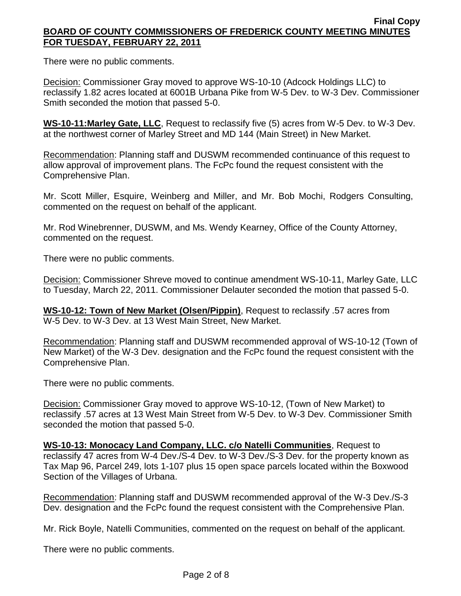There were no public comments.

**Decision: Commissioner Gray moved to approve WS-10-10 (Adcock Holdings LLC) to** reclassify 1.82 acres located at 6001B Urbana Pike from W-5 Dev. to W-3 Dev. Commissioner Smith seconded the motion that passed 5-0.

**WS-10-11:Marley Gate, LLC**, Request to reclassify five (5) acres from W-5 Dev. to W-3 Dev. at the northwest corner of Marley Street and MD 144 (Main Street) in New Market.

Recommendation: Planning staff and DUSWM recommended continuance of this request to allow approval of improvement plans. The FcPc found the request consistent with the Comprehensive Plan.

Mr. Scott Miller, Esquire, Weinberg and Miller, and Mr. Bob Mochi, Rodgers Consulting, commented on the request on behalf of the applicant.

Mr. Rod Winebrenner, DUSWM, and Ms. Wendy Kearney, Office of the County Attorney, commented on the request.

There were no public comments.

Decision: Commissioner Shreve moved to continue amendment WS-10-11, Marley Gate, LLC to Tuesday, March 22, 2011. Commissioner Delauter seconded the motion that passed 5-0.

**WS-10-12: Town of New Market (Olsen/Pippin)**, Request to reclassify .57 acres from W-5 Dev. to W-3 Dev. at 13 West Main Street, New Market.

Recommendation: Planning staff and DUSWM recommended approval of WS-10-12 (Town of New Market) of the W-3 Dev. designation and the FcPc found the request consistent with the Comprehensive Plan.

There were no public comments.

Decision: Commissioner Gray moved to approve WS-10-12, (Town of New Market) to reclassify .57 acres at 13 West Main Street from W-5 Dev. to W-3 Dev. Commissioner Smith seconded the motion that passed 5-0.

**WS-10-13: Monocacy Land Company, LLC. c/o Natelli Communities**, Request to reclassify 47 acres from W-4 Dev./S-4 Dev. to W-3 Dev./S-3 Dev. for the property known as Tax Map 96, Parcel 249, lots 1-107 plus 15 open space parcels located within the Boxwood Section of the Villages of Urbana.

Recommendation: Planning staff and DUSWM recommended approval of the W-3 Dev./S-3 Dev. designation and the FcPc found the request consistent with the Comprehensive Plan.

Mr. Rick Boyle, Natelli Communities, commented on the request on behalf of the applicant.

There were no public comments.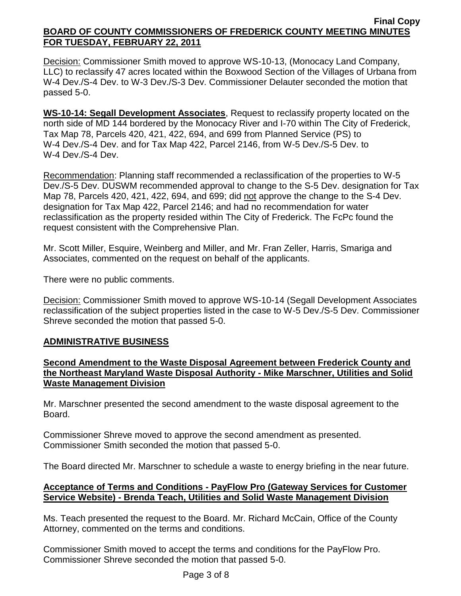Decision: Commissioner Smith moved to approve WS-10-13, (Monocacy Land Company, LLC) to reclassify 47 acres located within the Boxwood Section of the Villages of Urbana from W-4 Dev./S-4 Dev. to W-3 Dev./S-3 Dev. Commissioner Delauter seconded the motion that passed 5-0.

**WS-10-14: Segall Development Associates**, Request to reclassify property located on the north side of MD 144 bordered by the Monocacy River and I-70 within The City of Frederick, Tax Map 78, Parcels 420, 421, 422, 694, and 699 from Planned Service (PS) to W-4 Dev./S-4 Dev. and for Tax Map 422, Parcel 2146, from W-5 Dev./S-5 Dev. to W-4 Dev./S-4 Dev.

Recommendation: Planning staff recommended a reclassification of the properties to W-5 Dev./S-5 Dev. DUSWM recommended approval to change to the S-5 Dev. designation for Tax Map 78, Parcels 420, 421, 422, 694, and 699; did not approve the change to the S-4 Dev. designation for Tax Map 422, Parcel 2146; and had no recommendation for water reclassification as the property resided within The City of Frederick. The FcPc found the request consistent with the Comprehensive Plan.

Mr. Scott Miller, Esquire, Weinberg and Miller, and Mr. Fran Zeller, Harris, Smariga and Associates, commented on the request on behalf of the applicants.

There were no public comments.

Decision: Commissioner Smith moved to approve WS-10-14 (Segall Development Associates reclassification of the subject properties listed in the case to W-5 Dev./S-5 Dev. Commissioner Shreve seconded the motion that passed 5-0.

## **ADMINISTRATIVE BUSINESS**

## **Second Amendment to the Waste Disposal Agreement between Frederick County and the Northeast Maryland Waste Disposal Authority - Mike Marschner, Utilities and Solid Waste Management Division**

Mr. Marschner presented the second amendment to the waste disposal agreement to the Board.

Commissioner Shreve moved to approve the second amendment as presented. Commissioner Smith seconded the motion that passed 5-0.

The Board directed Mr. Marschner to schedule a waste to energy briefing in the near future.

# **Acceptance of Terms and Conditions - PayFlow Pro (Gateway Services for Customer Service Website) - Brenda Teach, Utilities and Solid Waste Management Division**

Ms. Teach presented the request to the Board. Mr. Richard McCain, Office of the County Attorney, commented on the terms and conditions.

Commissioner Smith moved to accept the terms and conditions for the PayFlow Pro. Commissioner Shreve seconded the motion that passed 5-0.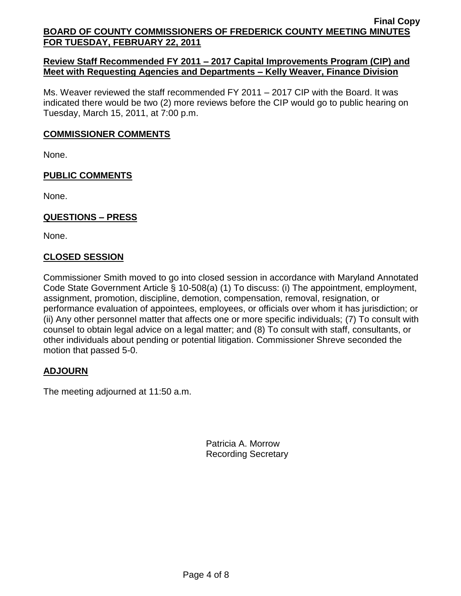# **Review Staff Recommended FY 2011 – 2017 Capital Improvements Program (CIP) and Meet with Requesting Agencies and Departments – Kelly Weaver, Finance Division**

Ms. Weaver reviewed the staff recommended FY 2011 – 2017 CIP with the Board. It was indicated there would be two (2) more reviews before the CIP would go to public hearing on Tuesday, March 15, 2011, at 7:00 p.m.

## **COMMISSIONER COMMENTS**

None.

# **PUBLIC COMMENTS**

None.

# **QUESTIONS – PRESS**

None.

# **CLOSED SESSION**

Commissioner Smith moved to go into closed session in accordance with Maryland Annotated Code State Government Article § 10-508(a) (1) To discuss: (i) The appointment, employment, assignment, promotion, discipline, demotion, compensation, removal, resignation, or performance evaluation of appointees, employees, or officials over whom it has jurisdiction; or (ii) Any other personnel matter that affects one or more specific individuals; (7) To consult with counsel to obtain legal advice on a legal matter; and (8) To consult with staff, consultants, or other individuals about pending or potential litigation. Commissioner Shreve seconded the motion that passed 5-0.

# **ADJOURN**

The meeting adjourned at 11:50 a.m.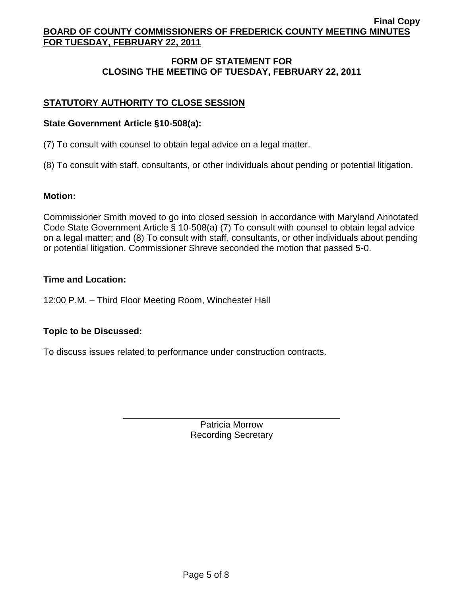# **FORM OF STATEMENT FOR CLOSING THE MEETING OF TUESDAY, FEBRUARY 22, 2011**

# **STATUTORY AUTHORITY TO CLOSE SESSION**

### **State Government Article §10-508(a):**

(7) To consult with counsel to obtain legal advice on a legal matter.

(8) To consult with staff, consultants, or other individuals about pending or potential litigation.

### **Motion:**

Commissioner Smith moved to go into closed session in accordance with Maryland Annotated Code State Government Article § 10-508(a) (7) To consult with counsel to obtain legal advice on a legal matter; and (8) To consult with staff, consultants, or other individuals about pending or potential litigation. Commissioner Shreve seconded the motion that passed 5-0.

## **Time and Location:**

12:00 P.M. – Third Floor Meeting Room, Winchester Hall

## **Topic to be Discussed:**

To discuss issues related to performance under construction contracts.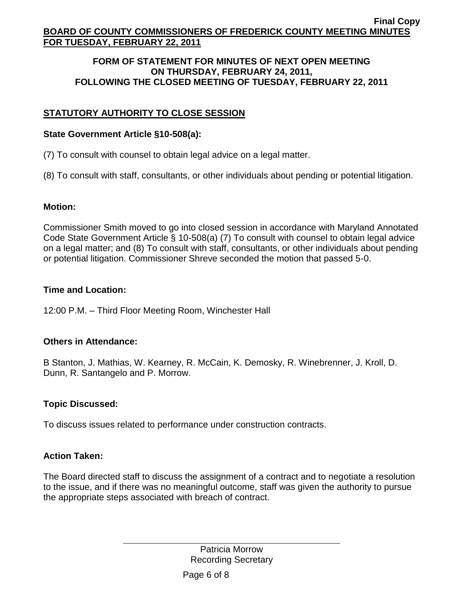### **FORM OF STATEMENT FOR MINUTES OF NEXT OPEN MEETING ON THURSDAY, FEBRUARY 24, 2011, FOLLOWING THE CLOSED MEETING OF TUESDAY, FEBRUARY 22, 2011**

# **STATUTORY AUTHORITY TO CLOSE SESSION**

# **State Government Article §10-508(a):**

(7) To consult with counsel to obtain legal advice on a legal matter.

(8) To consult with staff, consultants, or other individuals about pending or potential litigation.

## **Motion:**

Commissioner Smith moved to go into closed session in accordance with Maryland Annotated Code State Government Article § 10-508(a) (7) To consult with counsel to obtain legal advice on a legal matter; and (8) To consult with staff, consultants, or other individuals about pending or potential litigation. Commissioner Shreve seconded the motion that passed 5-0.

# **Time and Location:**

12:00 P.M. – Third Floor Meeting Room, Winchester Hall

# **Others in Attendance:**

B Stanton, J. Mathias, W. Kearney, R. McCain, K. Demosky, R. Winebrenner, J. Kroll, D. Dunn, R. Santangelo and P. Morrow.

# **Topic Discussed:**

To discuss issues related to performance under construction contracts.

## **Action Taken:**

The Board directed staff to discuss the assignment of a contract and to negotiate a resolution to the issue, and if there was no meaningful outcome, staff was given the authority to pursue the appropriate steps associated with breach of contract.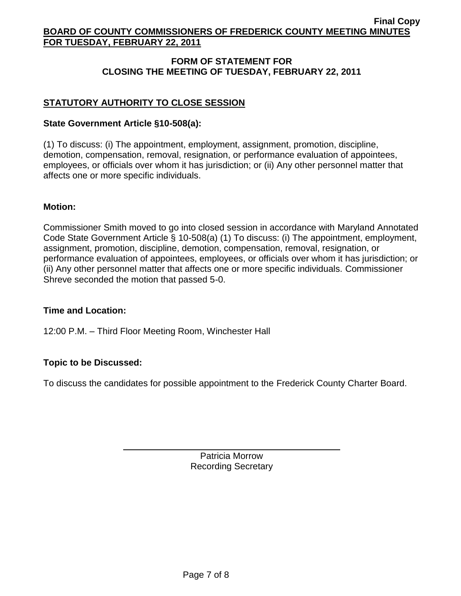# **FORM OF STATEMENT FOR CLOSING THE MEETING OF TUESDAY, FEBRUARY 22, 2011**

# **STATUTORY AUTHORITY TO CLOSE SESSION**

# **State Government Article §10-508(a):**

(1) To discuss: (i) The appointment, employment, assignment, promotion, discipline, demotion, compensation, removal, resignation, or performance evaluation of appointees, employees, or officials over whom it has jurisdiction; or (ii) Any other personnel matter that affects one or more specific individuals.

## **Motion:**

Commissioner Smith moved to go into closed session in accordance with Maryland Annotated Code State Government Article § 10-508(a) (1) To discuss: (i) The appointment, employment, assignment, promotion, discipline, demotion, compensation, removal, resignation, or performance evaluation of appointees, employees, or officials over whom it has jurisdiction; or (ii) Any other personnel matter that affects one or more specific individuals. Commissioner Shreve seconded the motion that passed 5-0.

## **Time and Location:**

12:00 P.M. – Third Floor Meeting Room, Winchester Hall

# **Topic to be Discussed:**

To discuss the candidates for possible appointment to the Frederick County Charter Board.